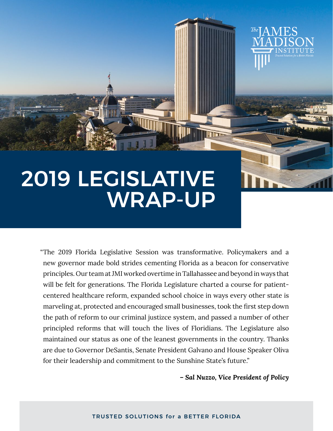# 2019 LEGISLATIVE WRAP-UP

"The 2019 Florida Legislative Session was transformative. Policymakers and a new governor made bold strides cementing Florida as a beacon for conservative principles. Our team at JMI worked overtime in Tallahassee and beyond in ways that will be felt for generations. The Florida Legislature charted a course for patientcentered healthcare reform, expanded school choice in ways every other state is marveling at, protected and encouraged small businesses, took the first step down the path of reform to our criminal justizce system, and passed a number of other principled reforms that will touch the lives of Floridians. The Legislature also maintained our status as one of the leanest governments in the country. Thanks are due to Governor DeSantis, Senate President Galvano and House Speaker Oliva for their leadership and commitment to the Sunshine State's future."

*– Sal Nuzzo, Vice President of Policy*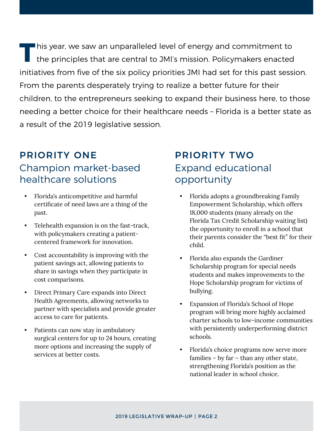**T**his year, we saw an unparalleled level of energy and commitment to the principles that are central to JMI's mission. Policymakers enacted initiatives from five of the six policy priorities JMI had set for this past session. From the parents desperately trying to realize a better future for their children, to the entrepreneurs seeking to expand their business here, to those needing a better choice for their healthcare needs – Florida is a better state as a result of the 2019 legislative session.

## PRIORITY ONE Champion market-based healthcare solutions

- Florida's anticompetitive and harmful certificate of need laws are a thing of the past.
- Telehealth expansion is on the fast-track, with policymakers creating a patientcentered framework for innovation.
- Cost accountability is improving with the patient savings act, allowing patients to share in savings when they participate in cost comparisons.
- Direct Primary Care expands into Direct Health Agreements, allowing networks to partner with specialists and provide greater access to care for patients.
- Patients can now stay in ambulatory surgical centers for up to 24 hours, creating more options and increasing the supply of services at better costs.

#### PRIORITY TWO Expand educational opportunity

- Florida adopts a groundbreaking Family Empowerment Scholarship, which offers 18,000 students (many already on the Florida Tax Credit Scholarship waiting list) the opportunity to enroll in a school that their parents consider the "best fit" for their child.
- Florida also expands the Gardiner Scholarship program for special needs students and makes improvements to the Hope Scholarship program for victims of bullying.
- Expansion of Florida's School of Hope program will bring more highly acclaimed charter schools to low-income communities with persistently underperforming district schools.
- Florida's choice programs now serve more families – by far – than any other state, strengthening Florida's position as the national leader in school choice.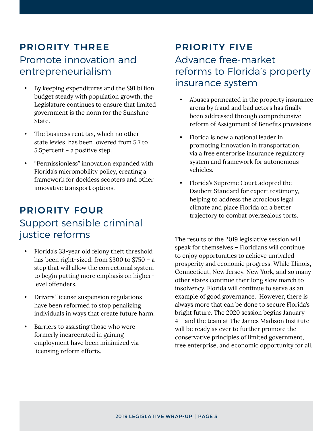# PRIORITY THREE Promote innovation and entrepreneurialism

- By keeping expenditures and the \$91 billion budget steady with population growth, the Legislature continues to ensure that limited government is the norm for the Sunshine State.
- The business rent tax, which no other state levies, has been lowered from 5.7 to 5.5percent – a positive step.
- "Permissionless" innovation expanded with Florida's micromobility policy, creating a framework for dockless scooters and other innovative transport options.

# PRIORITY FOUR Support sensible criminal justice reforms

- Florida's 33-year old felony theft threshold has been right-sized, from \$300 to \$750 – a step that will allow the correctional system to begin putting more emphasis on higherlevel offenders.
- Drivers' license suspension regulations have been reformed to stop penalizing individuals in ways that create future harm.
- Barriers to assisting those who were formerly incarcerated in gaining employment have been minimized via licensing reform efforts.

#### PRIORITY FIVE Advance free-market reforms to Florida's property insurance system

- Abuses permeated in the property insurance arena by fraud and bad actors has finally been addressed through comprehensive reform of Assignment of Benefits provisions.
- Florida is now a national leader in promoting innovation in transportation, via a free enterprise insurance regulatory system and framework for autonomous vehicles.
- Florida's Supreme Court adopted the Daubert Standard for expert testimony, helping to address the atrocious legal climate and place Florida on a better trajectory to combat overzealous torts.

The results of the 2019 legislative session will speak for themselves – Floridians will continue to enjoy opportunities to achieve unrivaled prosperity and economic progress. While Illinois, Connecticut, New Jersey, New York, and so many other states continue their long slow march to insolvency, Florida will continue to serve as an example of good governance. However, there is always more that can be done to secure Florida's bright future. The 2020 session begins January 4 – and the team at The James Madison Institute will be ready as ever to further promote the conservative principles of limited government, free enterprise, and economic opportunity for all.